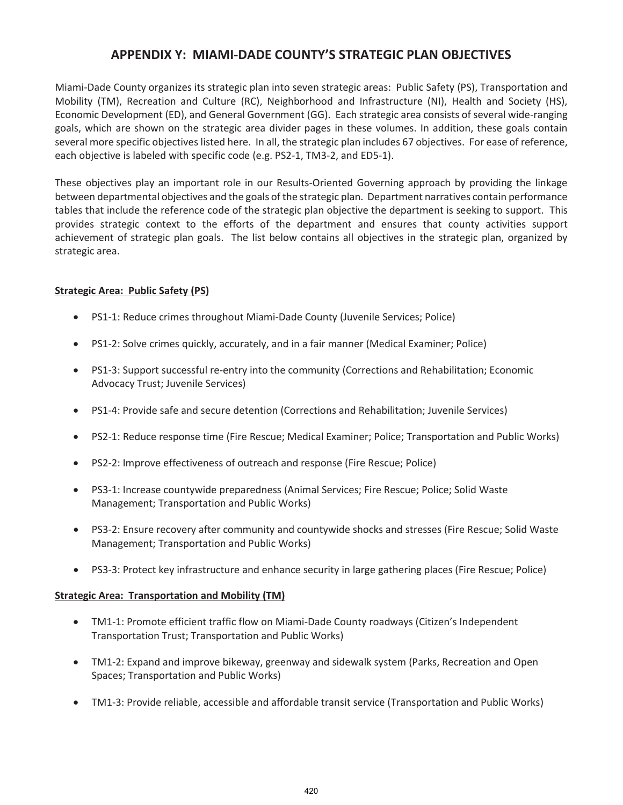Miami-Dade County organizes its strategic plan into seven strategic areas: Public Safety (PS), Transportation and Mobility (TM), Recreation and Culture (RC), Neighborhood and Infrastructure (NI), Health and Society (HS), Economic Development (ED), and General Government (GG). Each strategic area consists of several wide-ranging goals, which are shown on the strategic area divider pages in these volumes. In addition, these goals contain several more specific objectives listed here. In all, the strategic plan includes 67 objectives. For ease of reference, each objective is labeled with specific code (e.g. PS2-1, TM3-2, and ED5-1).

These objectives play an important role in our Results-Oriented Governing approach by providing the linkage between departmental objectives and the goals of the strategic plan. Department narratives contain performance tables that include the reference code of the strategic plan objective the department is seeking to support. This provides strategic context to the efforts of the department and ensures that county activities support achievement of strategic plan goals. The list below contains all objectives in the strategic plan, organized by strategic area.

### **Strategic Area: Public Safety (PS)**

- PS1-1: Reduce crimes throughout Miami-Dade County (Juvenile Services; Police)
- PS1-2: Solve crimes quickly, accurately, and in a fair manner (Medical Examiner; Police)
- PS1-3: Support successful re-entry into the community (Corrections and Rehabilitation; Economic Advocacy Trust; Juvenile Services)
- x PS1-4: Provide safe and secure detention (Corrections and Rehabilitation; Juvenile Services)
- x PS2-1: Reduce response time (Fire Rescue; Medical Examiner; Police; Transportation and Public Works)
- PS2-2: Improve effectiveness of outreach and response (Fire Rescue; Police)
- PS3-1: Increase countywide preparedness (Animal Services; Fire Rescue; Police; Solid Waste Management; Transportation and Public Works)
- PS3-2: Ensure recovery after community and countywide shocks and stresses (Fire Rescue; Solid Waste Management; Transportation and Public Works)
- PS3-3: Protect key infrastructure and enhance security in large gathering places (Fire Rescue; Police)

#### **Strategic Area: Transportation and Mobility (TM)**

- TM1-1: Promote efficient traffic flow on Miami-Dade County roadways (Citizen's Independent Transportation Trust; Transportation and Public Works)
- TM1-2: Expand and improve bikeway, greenway and sidewalk system (Parks, Recreation and Open Spaces; Transportation and Public Works)
- TM1-3: Provide reliable, accessible and affordable transit service (Transportation and Public Works)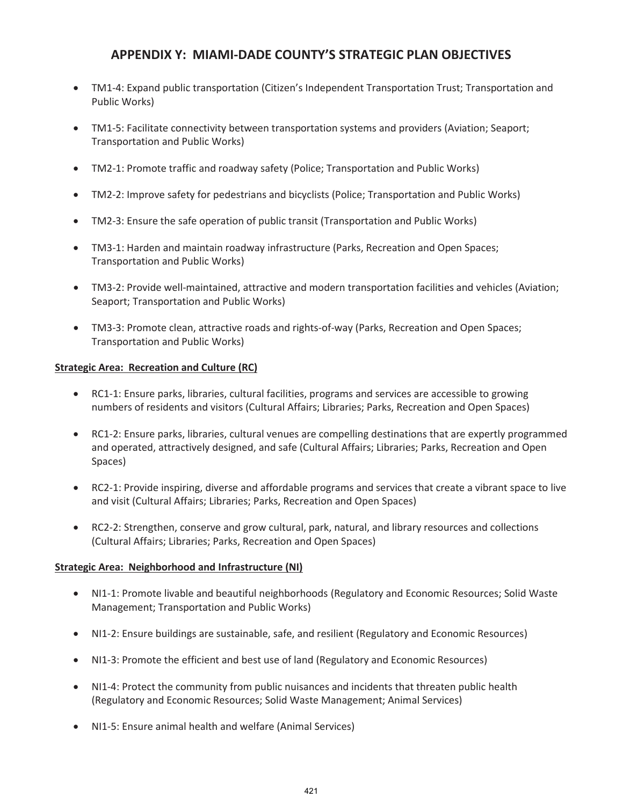- TM1-4: Expand public transportation (Citizen's Independent Transportation Trust; Transportation and Public Works)
- TM1-5: Facilitate connectivity between transportation systems and providers (Aviation; Seaport; Transportation and Public Works)
- TM2-1: Promote traffic and roadway safety (Police; Transportation and Public Works)
- TM2-2: Improve safety for pedestrians and bicyclists (Police; Transportation and Public Works)
- TM2-3: Ensure the safe operation of public transit (Transportation and Public Works)
- TM3-1: Harden and maintain roadway infrastructure (Parks, Recreation and Open Spaces; Transportation and Public Works)
- TM3-2: Provide well-maintained, attractive and modern transportation facilities and vehicles (Aviation; Seaport; Transportation and Public Works)
- TM3-3: Promote clean, attractive roads and rights-of-way (Parks, Recreation and Open Spaces; Transportation and Public Works)

### **Strategic Area: Recreation and Culture (RC)**

- RC1-1: Ensure parks, libraries, cultural facilities, programs and services are accessible to growing numbers of residents and visitors (Cultural Affairs; Libraries; Parks, Recreation and Open Spaces)
- RC1-2: Ensure parks, libraries, cultural venues are compelling destinations that are expertly programmed and operated, attractively designed, and safe (Cultural Affairs; Libraries; Parks, Recreation and Open Spaces)
- RC2-1: Provide inspiring, diverse and affordable programs and services that create a vibrant space to live and visit (Cultural Affairs; Libraries; Parks, Recreation and Open Spaces)
- RC2-2: Strengthen, conserve and grow cultural, park, natural, and library resources and collections (Cultural Affairs; Libraries; Parks, Recreation and Open Spaces)

### **Strategic Area: Neighborhood and Infrastructure (NI)**

- NI1-1: Promote livable and beautiful neighborhoods (Regulatory and Economic Resources; Solid Waste Management; Transportation and Public Works)
- NI1-2: Ensure buildings are sustainable, safe, and resilient (Regulatory and Economic Resources)
- NI1-3: Promote the efficient and best use of land (Regulatory and Economic Resources)
- NI1-4: Protect the community from public nuisances and incidents that threaten public health (Regulatory and Economic Resources; Solid Waste Management; Animal Services)
- x NI1-5: Ensure animal health and welfare (Animal Services)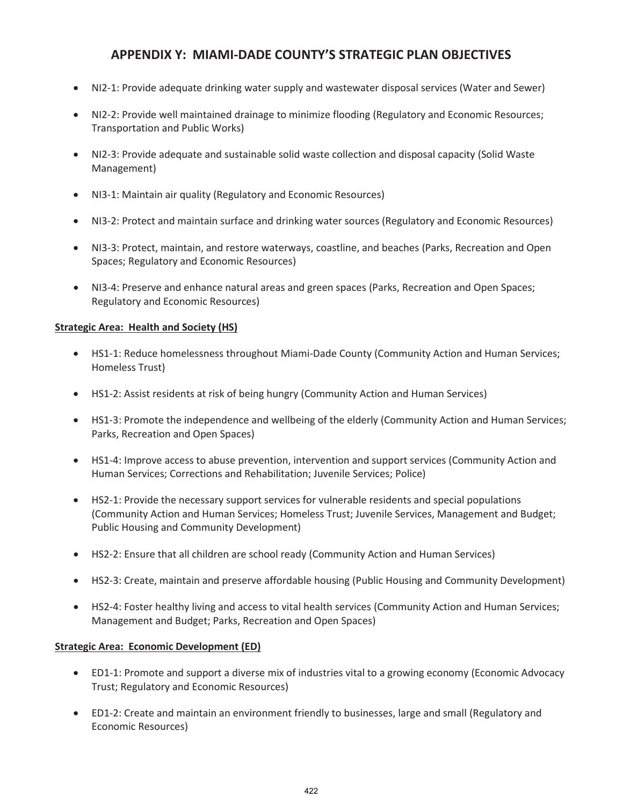- x NI2-1: Provide adequate drinking water supply and wastewater disposal services (Water and Sewer)
- NI2-2: Provide well maintained drainage to minimize flooding (Regulatory and Economic Resources; Transportation and Public Works)
- NI2-3: Provide adequate and sustainable solid waste collection and disposal capacity (Solid Waste Management)
- NI3-1: Maintain air quality (Regulatory and Economic Resources)
- NI3-2: Protect and maintain surface and drinking water sources (Regulatory and Economic Resources)
- NI3-3: Protect, maintain, and restore waterways, coastline, and beaches (Parks, Recreation and Open Spaces; Regulatory and Economic Resources)
- NI3-4: Preserve and enhance natural areas and green spaces (Parks, Recreation and Open Spaces; Regulatory and Economic Resources)

#### **Strategic Area: Health and Society (HS)**

- HS1-1: Reduce homelessness throughout Miami-Dade County (Community Action and Human Services; Homeless Trust)
- HS1-2: Assist residents at risk of being hungry (Community Action and Human Services)
- HS1-3: Promote the independence and wellbeing of the elderly (Community Action and Human Services; Parks, Recreation and Open Spaces)
- HS1-4: Improve access to abuse prevention, intervention and support services (Community Action and Human Services; Corrections and Rehabilitation; Juvenile Services; Police)
- HS2-1: Provide the necessary support services for vulnerable residents and special populations (Community Action and Human Services; Homeless Trust; Juvenile Services, Management and Budget; Public Housing and Community Development)
- HS2-2: Ensure that all children are school ready (Community Action and Human Services)
- HS2-3: Create, maintain and preserve affordable housing (Public Housing and Community Development)
- HS2-4: Foster healthy living and access to vital health services (Community Action and Human Services; Management and Budget; Parks, Recreation and Open Spaces)

#### **Strategic Area: Economic Development (ED)**

- ED1-1: Promote and support a diverse mix of industries vital to a growing economy (Economic Advocacy Trust; Regulatory and Economic Resources)
- ED1-2: Create and maintain an environment friendly to businesses, large and small (Regulatory and Economic Resources)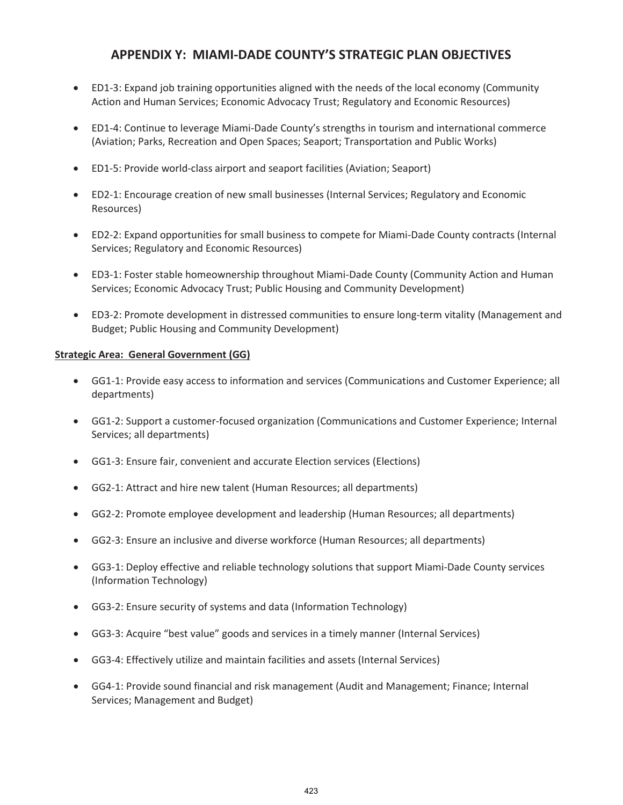- x ED1-3: Expand job training opportunities aligned with the needs of the local economy (Community Action and Human Services; Economic Advocacy Trust; Regulatory and Economic Resources)
- ED1-4: Continue to leverage Miami-Dade County's strengths in tourism and international commerce (Aviation; Parks, Recreation and Open Spaces; Seaport; Transportation and Public Works)
- ED1-5: Provide world-class airport and seaport facilities (Aviation; Seaport)
- ED2-1: Encourage creation of new small businesses (Internal Services; Regulatory and Economic Resources)
- ED2-2: Expand opportunities for small business to compete for Miami-Dade County contracts (Internal Services; Regulatory and Economic Resources)
- ED3-1: Foster stable homeownership throughout Miami-Dade County (Community Action and Human Services; Economic Advocacy Trust; Public Housing and Community Development)
- ED3-2: Promote development in distressed communities to ensure long-term vitality (Management and Budget; Public Housing and Community Development)

#### **Strategic Area: General Government (GG)**

- GG1-1: Provide easy access to information and services (Communications and Customer Experience; all departments)
- GG1-2: Support a customer-focused organization (Communications and Customer Experience; Internal Services; all departments)
- x GG1-3: Ensure fair, convenient and accurate Election services (Elections)
- GG2-1: Attract and hire new talent (Human Resources; all departments)
- GG2-2: Promote employee development and leadership (Human Resources; all departments)
- GG2-3: Ensure an inclusive and diverse workforce (Human Resources; all departments)
- GG3-1: Deploy effective and reliable technology solutions that support Miami-Dade County services (Information Technology)
- GG3-2: Ensure security of systems and data (Information Technology)
- x GG3-3: Acquire "best value" goods and services in a timely manner (Internal Services)
- GG3-4: Effectively utilize and maintain facilities and assets (Internal Services)
- GG4-1: Provide sound financial and risk management (Audit and Management; Finance; Internal Services; Management and Budget)